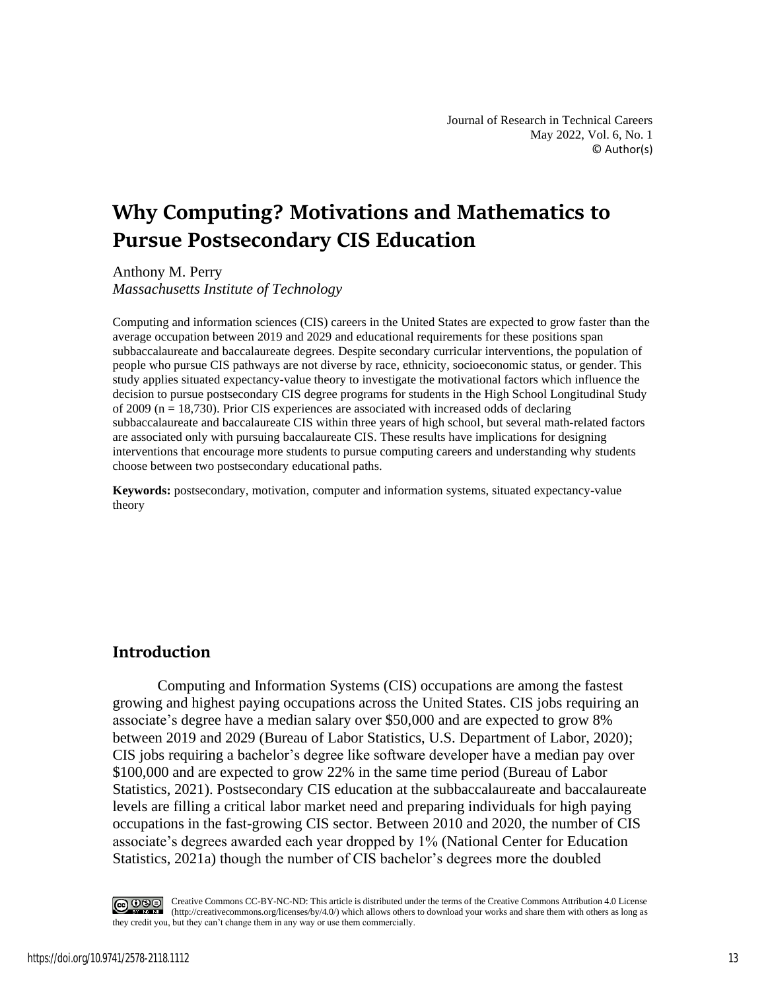Journal of Research in Technical Careers May 2022, Vol. 6, No. 1 © Author(s)

# **Why Computing? Motivations and Mathematics to Pursue Postsecondary CIS Education**

Anthony M. Perry *Massachusetts Institute of Technology*

Computing and information sciences (CIS) careers in the United States are expected to grow faster than the average occupation between 2019 and 2029 and educational requirements for these positions span subbaccalaureate and baccalaureate degrees. Despite secondary curricular interventions, the population of people who pursue CIS pathways are not diverse by race, ethnicity, socioeconomic status, or gender. This study applies situated expectancy-value theory to investigate the motivational factors which influence the decision to pursue postsecondary CIS degree programs for students in the High School Longitudinal Study of  $2009$  (n = 18,730). Prior CIS experiences are associated with increased odds of declaring subbaccalaureate and baccalaureate CIS within three years of high school, but several math-related factors are associated only with pursuing baccalaureate CIS. These results have implications for designing interventions that encourage more students to pursue computing careers and understanding why students choose between two postsecondary educational paths.

**Keywords:** postsecondary, motivation, computer and information systems, situated expectancy-value theory

# **Introduction**

Computing and Information Systems (CIS) occupations are among the fastest growing and highest paying occupations across the United States. CIS jobs requiring an associate's degree have a median salary over \$50,000 and are expected to grow 8% between 2019 and 2029 (Bureau of Labor Statistics, U.S. Department of Labor, 2020); CIS jobs requiring a bachelor's degree like software developer have a median pay over \$100,000 and are expected to grow 22% in the same time period (Bureau of Labor Statistics, 2021). Postsecondary CIS education at the subbaccalaureate and baccalaureate levels are filling a critical labor market need and preparing individuals for high paying occupations in the fast-growing CIS sector. Between 2010 and 2020, the number of CIS associate's degrees awarded each year dropped by 1% (National Center for Education Statistics, 2021a) though the number of CIS bachelor's degrees more the doubled

COOS Creative Commons CC-BY-NC-ND: This article is distributed under the terms of the Creative Commons Attribution 4.0 License (http://creativecommons.org/licenses/by/4.0/) which allows others to download your works and share them with others as long as they credit you, but they can't change them in any way or use them commercially.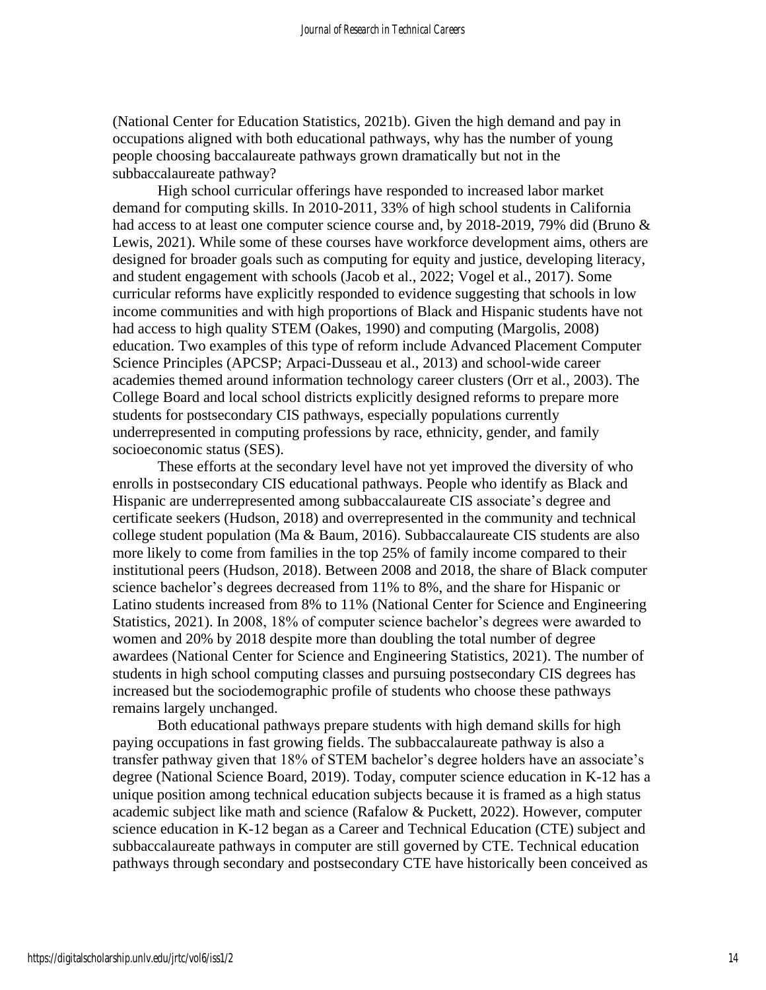(National Center for Education Statistics, 2021b). Given the high demand and pay in occupations aligned with both educational pathways, why has the number of young people choosing baccalaureate pathways grown dramatically but not in the subbaccalaureate pathway?

High school curricular offerings have responded to increased labor market demand for computing skills. In 2010-2011, 33% of high school students in California had access to at least one computer science course and, by 2018-2019, 79% did (Bruno & Lewis, 2021). While some of these courses have workforce development aims, others are designed for broader goals such as computing for equity and justice, developing literacy, and student engagement with schools (Jacob et al., 2022; Vogel et al., 2017). Some curricular reforms have explicitly responded to evidence suggesting that schools in low income communities and with high proportions of Black and Hispanic students have not had access to high quality STEM (Oakes, 1990) and computing (Margolis, 2008) education. Two examples of this type of reform include Advanced Placement Computer Science Principles (APCSP; Arpaci-Dusseau et al., 2013) and school-wide career academies themed around information technology career clusters (Orr et al., 2003). The College Board and local school districts explicitly designed reforms to prepare more students for postsecondary CIS pathways, especially populations currently underrepresented in computing professions by race, ethnicity, gender, and family socioeconomic status (SES).

These efforts at the secondary level have not yet improved the diversity of who enrolls in postsecondary CIS educational pathways. People who identify as Black and Hispanic are underrepresented among subbaccalaureate CIS associate's degree and certificate seekers (Hudson, 2018) and overrepresented in the community and technical college student population (Ma & Baum, 2016). Subbaccalaureate CIS students are also more likely to come from families in the top 25% of family income compared to their institutional peers (Hudson, 2018). Between 2008 and 2018, the share of Black computer science bachelor's degrees decreased from 11% to 8%, and the share for Hispanic or Latino students increased from 8% to 11% (National Center for Science and Engineering Statistics, 2021). In 2008, 18% of computer science bachelor's degrees were awarded to women and 20% by 2018 despite more than doubling the total number of degree awardees (National Center for Science and Engineering Statistics, 2021). The number of students in high school computing classes and pursuing postsecondary CIS degrees has increased but the sociodemographic profile of students who choose these pathways remains largely unchanged.

Both educational pathways prepare students with high demand skills for high paying occupations in fast growing fields. The subbaccalaureate pathway is also a transfer pathway given that 18% of STEM bachelor's degree holders have an associate's degree (National Science Board, 2019). Today, computer science education in K-12 has a unique position among technical education subjects because it is framed as a high status academic subject like math and science (Rafalow & Puckett, 2022). However, computer science education in K-12 began as a Career and Technical Education (CTE) subject and subbaccalaureate pathways in computer are still governed by CTE. Technical education pathways through secondary and postsecondary CTE have historically been conceived as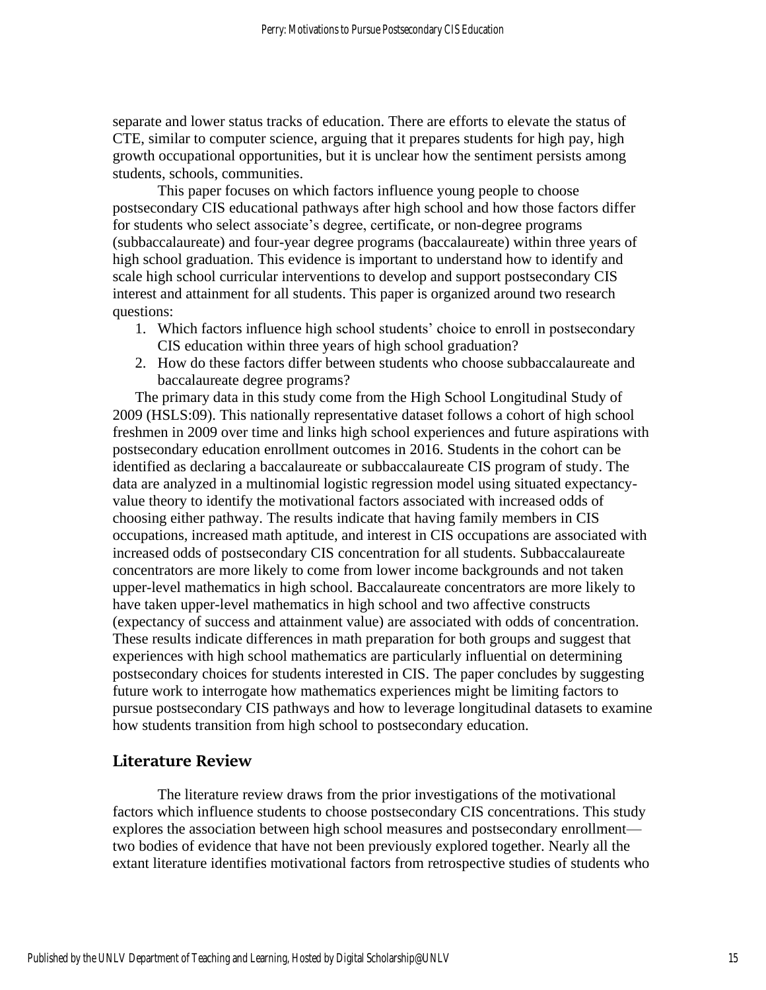separate and lower status tracks of education. There are efforts to elevate the status of CTE, similar to computer science, arguing that it prepares students for high pay, high growth occupational opportunities, but it is unclear how the sentiment persists among students, schools, communities.

This paper focuses on which factors influence young people to choose postsecondary CIS educational pathways after high school and how those factors differ for students who select associate's degree, certificate, or non-degree programs (subbaccalaureate) and four-year degree programs (baccalaureate) within three years of high school graduation. This evidence is important to understand how to identify and scale high school curricular interventions to develop and support postsecondary CIS interest and attainment for all students. This paper is organized around two research questions:

- 1. Which factors influence high school students' choice to enroll in postsecondary CIS education within three years of high school graduation?
- 2. How do these factors differ between students who choose subbaccalaureate and baccalaureate degree programs?

The primary data in this study come from the High School Longitudinal Study of 2009 (HSLS:09). This nationally representative dataset follows a cohort of high school freshmen in 2009 over time and links high school experiences and future aspirations with postsecondary education enrollment outcomes in 2016. Students in the cohort can be identified as declaring a baccalaureate or subbaccalaureate CIS program of study. The data are analyzed in a multinomial logistic regression model using situated expectancyvalue theory to identify the motivational factors associated with increased odds of choosing either pathway. The results indicate that having family members in CIS occupations, increased math aptitude, and interest in CIS occupations are associated with increased odds of postsecondary CIS concentration for all students. Subbaccalaureate concentrators are more likely to come from lower income backgrounds and not taken upper-level mathematics in high school. Baccalaureate concentrators are more likely to have taken upper-level mathematics in high school and two affective constructs (expectancy of success and attainment value) are associated with odds of concentration. These results indicate differences in math preparation for both groups and suggest that experiences with high school mathematics are particularly influential on determining postsecondary choices for students interested in CIS. The paper concludes by suggesting future work to interrogate how mathematics experiences might be limiting factors to pursue postsecondary CIS pathways and how to leverage longitudinal datasets to examine how students transition from high school to postsecondary education.

# **Literature Review**

The literature review draws from the prior investigations of the motivational factors which influence students to choose postsecondary CIS concentrations. This study explores the association between high school measures and postsecondary enrollment two bodies of evidence that have not been previously explored together. Nearly all the extant literature identifies motivational factors from retrospective studies of students who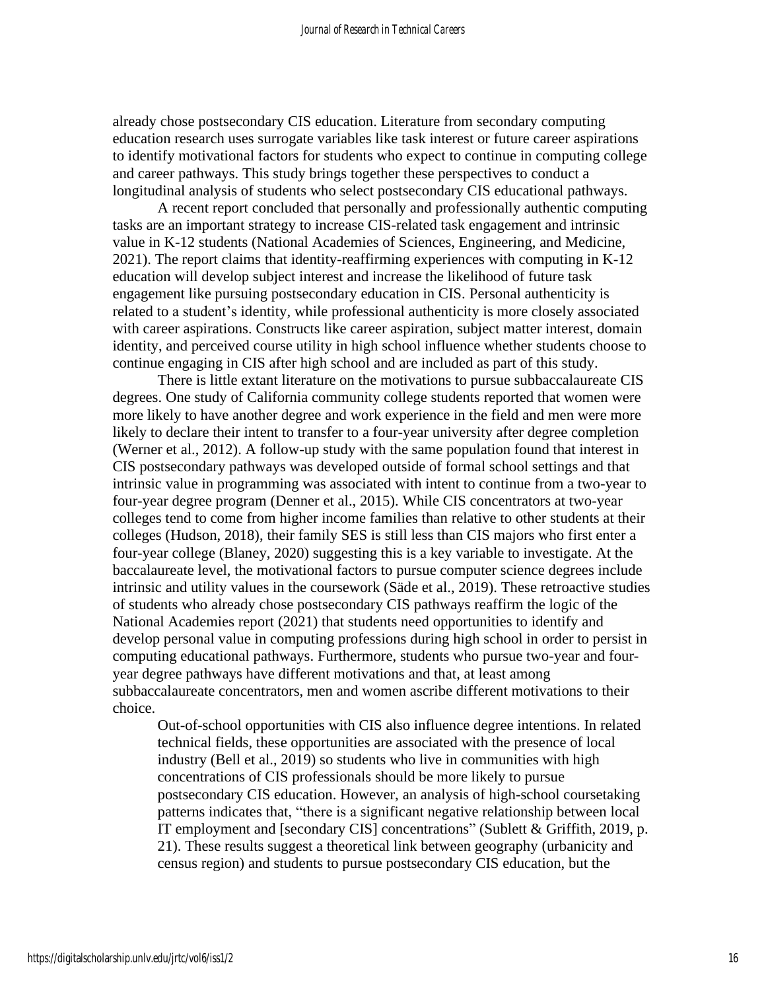already chose postsecondary CIS education. Literature from secondary computing education research uses surrogate variables like task interest or future career aspirations to identify motivational factors for students who expect to continue in computing college and career pathways. This study brings together these perspectives to conduct a longitudinal analysis of students who select postsecondary CIS educational pathways.

A recent report concluded that personally and professionally authentic computing tasks are an important strategy to increase CIS-related task engagement and intrinsic value in K-12 students (National Academies of Sciences, Engineering, and Medicine, 2021). The report claims that identity-reaffirming experiences with computing in K-12 education will develop subject interest and increase the likelihood of future task engagement like pursuing postsecondary education in CIS. Personal authenticity is related to a student's identity, while professional authenticity is more closely associated with career aspirations. Constructs like career aspiration, subject matter interest, domain identity, and perceived course utility in high school influence whether students choose to continue engaging in CIS after high school and are included as part of this study.

There is little extant literature on the motivations to pursue subbaccalaureate CIS degrees. One study of California community college students reported that women were more likely to have another degree and work experience in the field and men were more likely to declare their intent to transfer to a four-year university after degree completion (Werner et al., 2012). A follow-up study with the same population found that interest in CIS postsecondary pathways was developed outside of formal school settings and that intrinsic value in programming was associated with intent to continue from a two-year to four-year degree program (Denner et al., 2015). While CIS concentrators at two-year colleges tend to come from higher income families than relative to other students at their colleges (Hudson, 2018), their family SES is still less than CIS majors who first enter a four-year college (Blaney, 2020) suggesting this is a key variable to investigate. At the baccalaureate level, the motivational factors to pursue computer science degrees include intrinsic and utility values in the coursework (Säde et al., 2019). These retroactive studies of students who already chose postsecondary CIS pathways reaffirm the logic of the National Academies report (2021) that students need opportunities to identify and develop personal value in computing professions during high school in order to persist in computing educational pathways. Furthermore, students who pursue two-year and fouryear degree pathways have different motivations and that, at least among subbaccalaureate concentrators, men and women ascribe different motivations to their choice.

Out-of-school opportunities with CIS also influence degree intentions. In related technical fields, these opportunities are associated with the presence of local industry (Bell et al., 2019) so students who live in communities with high concentrations of CIS professionals should be more likely to pursue postsecondary CIS education. However, an analysis of high-school coursetaking patterns indicates that, "there is a significant negative relationship between local IT employment and [secondary CIS] concentrations" (Sublett & Griffith, 2019, p. 21). These results suggest a theoretical link between geography (urbanicity and census region) and students to pursue postsecondary CIS education, but the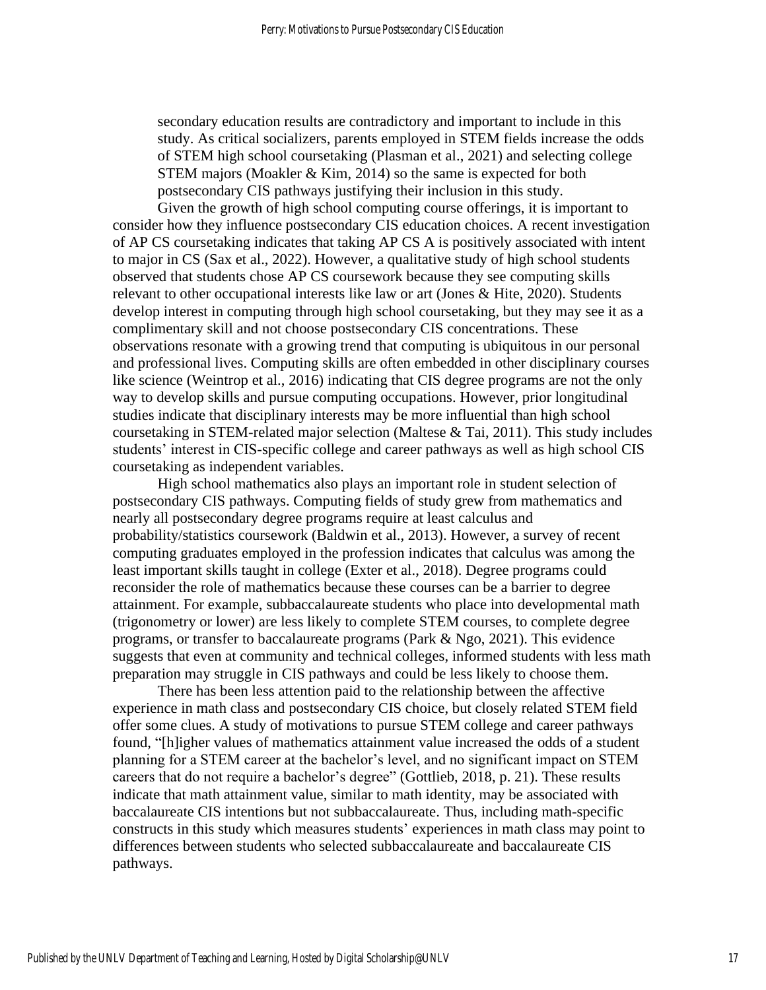secondary education results are contradictory and important to include in this study. As critical socializers, parents employed in STEM fields increase the odds of STEM high school coursetaking (Plasman et al., 2021) and selecting college STEM majors (Moakler & Kim, 2014) so the same is expected for both postsecondary CIS pathways justifying their inclusion in this study.

Given the growth of high school computing course offerings, it is important to consider how they influence postsecondary CIS education choices. A recent investigation of AP CS coursetaking indicates that taking AP CS A is positively associated with intent to major in CS (Sax et al., 2022). However, a qualitative study of high school students observed that students chose AP CS coursework because they see computing skills relevant to other occupational interests like law or art (Jones & Hite, 2020). Students develop interest in computing through high school coursetaking, but they may see it as a complimentary skill and not choose postsecondary CIS concentrations. These observations resonate with a growing trend that computing is ubiquitous in our personal and professional lives. Computing skills are often embedded in other disciplinary courses like science (Weintrop et al., 2016) indicating that CIS degree programs are not the only way to develop skills and pursue computing occupations. However, prior longitudinal studies indicate that disciplinary interests may be more influential than high school coursetaking in STEM-related major selection (Maltese & Tai, 2011). This study includes students' interest in CIS-specific college and career pathways as well as high school CIS coursetaking as independent variables.

High school mathematics also plays an important role in student selection of postsecondary CIS pathways. Computing fields of study grew from mathematics and nearly all postsecondary degree programs require at least calculus and probability/statistics coursework (Baldwin et al., 2013). However, a survey of recent computing graduates employed in the profession indicates that calculus was among the least important skills taught in college (Exter et al., 2018). Degree programs could reconsider the role of mathematics because these courses can be a barrier to degree attainment. For example, subbaccalaureate students who place into developmental math (trigonometry or lower) are less likely to complete STEM courses, to complete degree programs, or transfer to baccalaureate programs (Park & Ngo, 2021). This evidence suggests that even at community and technical colleges, informed students with less math preparation may struggle in CIS pathways and could be less likely to choose them.

There has been less attention paid to the relationship between the affective experience in math class and postsecondary CIS choice, but closely related STEM field offer some clues. A study of motivations to pursue STEM college and career pathways found, "[h]igher values of mathematics attainment value increased the odds of a student planning for a STEM career at the bachelor's level, and no significant impact on STEM careers that do not require a bachelor's degree" (Gottlieb, 2018, p. 21). These results indicate that math attainment value, similar to math identity, may be associated with baccalaureate CIS intentions but not subbaccalaureate. Thus, including math-specific constructs in this study which measures students' experiences in math class may point to differences between students who selected subbaccalaureate and baccalaureate CIS pathways.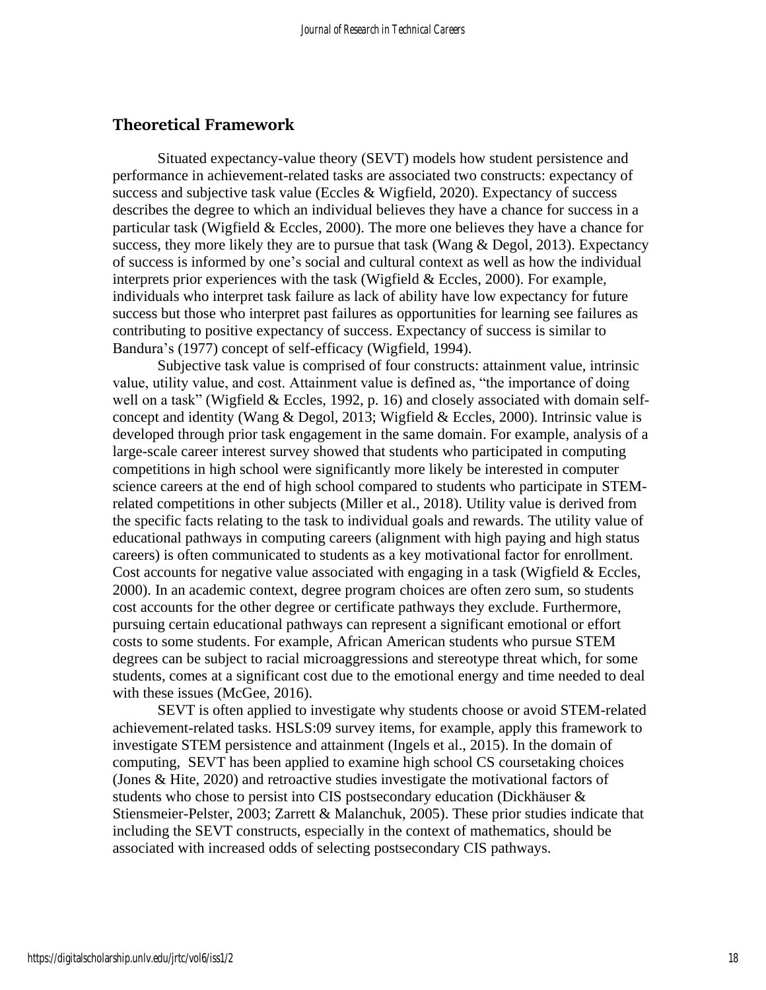## **Theoretical Framework**

Situated expectancy-value theory (SEVT) models how student persistence and performance in achievement-related tasks are associated two constructs: expectancy of success and subjective task value (Eccles  $& Wigfield, 2020$ ). Expectancy of success describes the degree to which an individual believes they have a chance for success in a particular task (Wigfield & Eccles, 2000). The more one believes they have a chance for success, they more likely they are to pursue that task (Wang & Degol, 2013). Expectancy of success is informed by one's social and cultural context as well as how the individual interprets prior experiences with the task (Wigfield  $&$  Eccles, 2000). For example, individuals who interpret task failure as lack of ability have low expectancy for future success but those who interpret past failures as opportunities for learning see failures as contributing to positive expectancy of success. Expectancy of success is similar to Bandura's (1977) concept of self-efficacy (Wigfield, 1994).

Subjective task value is comprised of four constructs: attainment value, intrinsic value, utility value, and cost. Attainment value is defined as, "the importance of doing well on a task" (Wigfield  $&$  Eccles, 1992, p. 16) and closely associated with domain selfconcept and identity (Wang & Degol, 2013; Wigfield & Eccles, 2000). Intrinsic value is developed through prior task engagement in the same domain. For example, analysis of a large-scale career interest survey showed that students who participated in computing competitions in high school were significantly more likely be interested in computer science careers at the end of high school compared to students who participate in STEMrelated competitions in other subjects (Miller et al., 2018). Utility value is derived from the specific facts relating to the task to individual goals and rewards. The utility value of educational pathways in computing careers (alignment with high paying and high status careers) is often communicated to students as a key motivational factor for enrollment. Cost accounts for negative value associated with engaging in a task (Wigfield  $&$  Eccles, 2000). In an academic context, degree program choices are often zero sum, so students cost accounts for the other degree or certificate pathways they exclude. Furthermore, pursuing certain educational pathways can represent a significant emotional or effort costs to some students. For example, African American students who pursue STEM degrees can be subject to racial microaggressions and stereotype threat which, for some students, comes at a significant cost due to the emotional energy and time needed to deal with these issues (McGee, 2016).

SEVT is often applied to investigate why students choose or avoid STEM-related achievement-related tasks. HSLS:09 survey items, for example, apply this framework to investigate STEM persistence and attainment (Ingels et al., 2015). In the domain of computing, SEVT has been applied to examine high school CS coursetaking choices (Jones & Hite, 2020) and retroactive studies investigate the motivational factors of students who chose to persist into CIS postsecondary education (Dickhäuser & Stiensmeier-Pelster, 2003; Zarrett & Malanchuk, 2005). These prior studies indicate that including the SEVT constructs, especially in the context of mathematics, should be associated with increased odds of selecting postsecondary CIS pathways.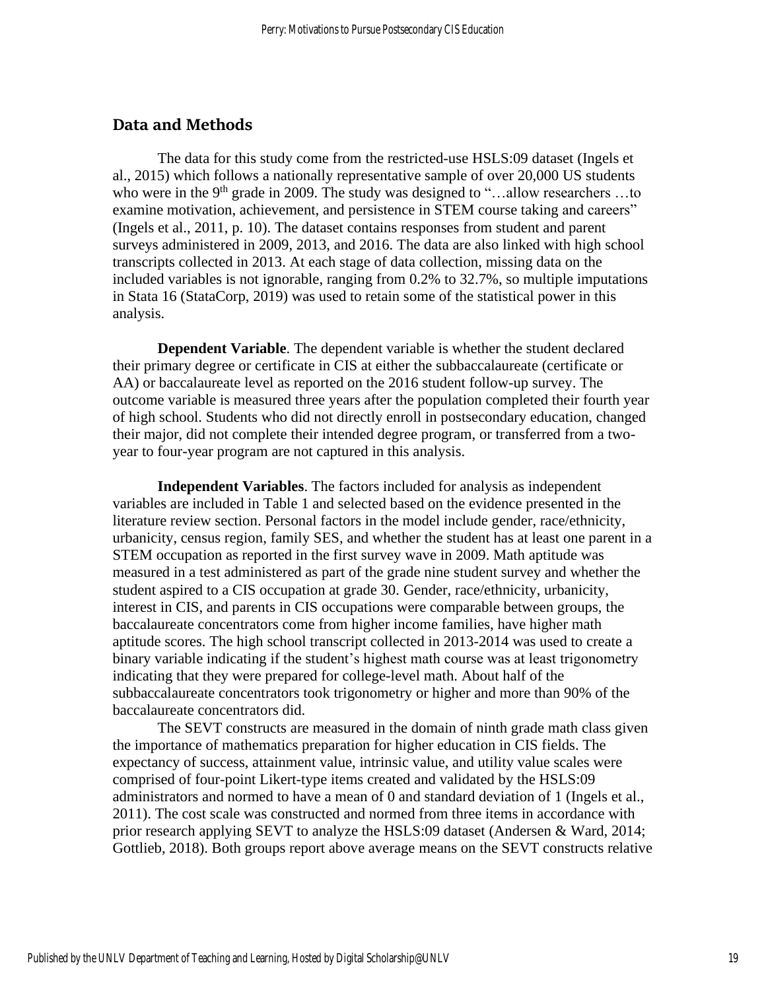## **Data and Methods**

The data for this study come from the restricted-use HSLS:09 dataset (Ingels et al., 2015) which follows a nationally representative sample of over 20,000 US students who were in the 9<sup>th</sup> grade in 2009. The study was designed to "...allow researchers ...to examine motivation, achievement, and persistence in STEM course taking and careers" (Ingels et al., 2011, p. 10). The dataset contains responses from student and parent surveys administered in 2009, 2013, and 2016. The data are also linked with high school transcripts collected in 2013. At each stage of data collection, missing data on the included variables is not ignorable, ranging from 0.2% to 32.7%, so multiple imputations in Stata 16 (StataCorp, 2019) was used to retain some of the statistical power in this analysis.

**Dependent Variable**. The dependent variable is whether the student declared their primary degree or certificate in CIS at either the subbaccalaureate (certificate or AA) or baccalaureate level as reported on the 2016 student follow-up survey. The outcome variable is measured three years after the population completed their fourth year of high school. Students who did not directly enroll in postsecondary education, changed their major, did not complete their intended degree program, or transferred from a twoyear to four-year program are not captured in this analysis.

**Independent Variables**. The factors included for analysis as independent variables are included in Table 1 and selected based on the evidence presented in the literature review section. Personal factors in the model include gender, race/ethnicity, urbanicity, census region, family SES, and whether the student has at least one parent in a STEM occupation as reported in the first survey wave in 2009. Math aptitude was measured in a test administered as part of the grade nine student survey and whether the student aspired to a CIS occupation at grade 30. Gender, race/ethnicity, urbanicity, interest in CIS, and parents in CIS occupations were comparable between groups, the baccalaureate concentrators come from higher income families, have higher math aptitude scores. The high school transcript collected in 2013-2014 was used to create a binary variable indicating if the student's highest math course was at least trigonometry indicating that they were prepared for college-level math. About half of the subbaccalaureate concentrators took trigonometry or higher and more than 90% of the baccalaureate concentrators did.

The SEVT constructs are measured in the domain of ninth grade math class given the importance of mathematics preparation for higher education in CIS fields. The expectancy of success, attainment value, intrinsic value, and utility value scales were comprised of four-point Likert-type items created and validated by the HSLS:09 administrators and normed to have a mean of 0 and standard deviation of 1 (Ingels et al., 2011). The cost scale was constructed and normed from three items in accordance with prior research applying SEVT to analyze the HSLS:09 dataset (Andersen & Ward, 2014; Gottlieb, 2018). Both groups report above average means on the SEVT constructs relative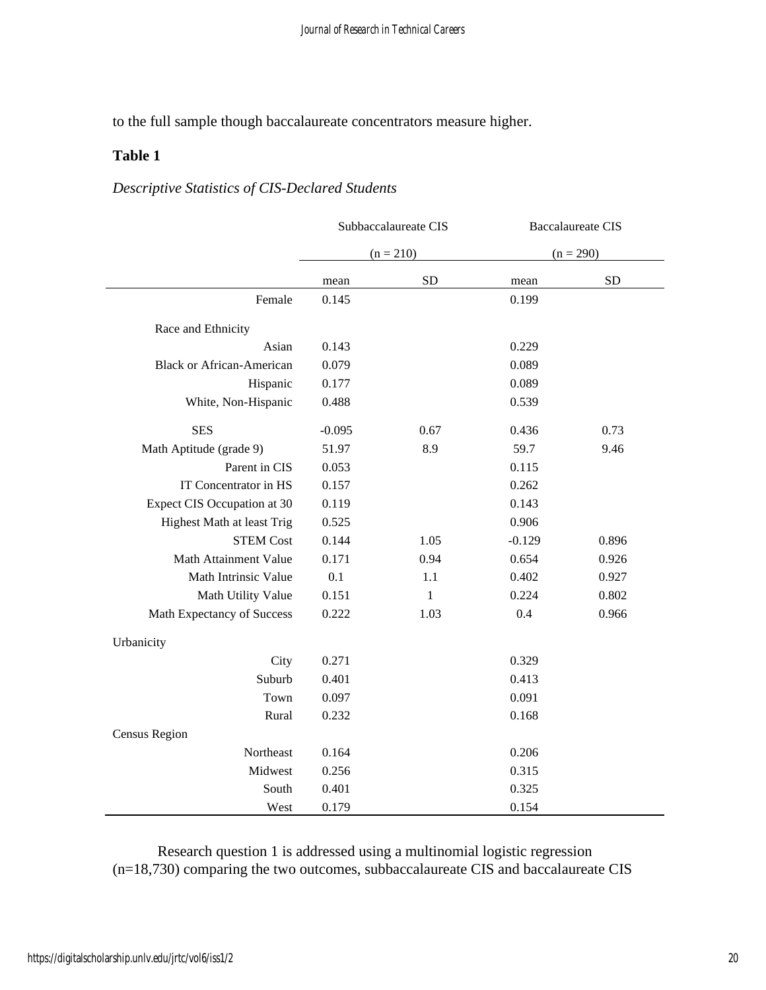to the full sample though baccalaureate concentrators measure higher.

#### **Table 1**

# *Descriptive Statistics of CIS-Declared Students*

|                                  | Subbaccalaureate CIS<br>$(n = 210)$ |           | <b>Baccalaureate CIS</b><br>$(n = 290)$ |           |
|----------------------------------|-------------------------------------|-----------|-----------------------------------------|-----------|
|                                  |                                     |           |                                         |           |
|                                  | mean                                | <b>SD</b> | mean                                    | <b>SD</b> |
| Female                           | 0.145                               |           | 0.199                                   |           |
| Race and Ethnicity               |                                     |           |                                         |           |
| Asian                            | 0.143                               |           | 0.229                                   |           |
| <b>Black or African-American</b> | 0.079                               |           | 0.089                                   |           |
| Hispanic                         | 0.177                               |           | 0.089                                   |           |
| White, Non-Hispanic              | 0.488                               |           | 0.539                                   |           |
| <b>SES</b>                       | $-0.095$                            | 0.67      | 0.436                                   | 0.73      |
| Math Aptitude (grade 9)          | 51.97                               | 8.9       | 59.7                                    | 9.46      |
| Parent in CIS                    | 0.053                               |           | 0.115                                   |           |
| IT Concentrator in HS            | 0.157                               |           | 0.262                                   |           |
| Expect CIS Occupation at 30      | 0.119                               |           | 0.143                                   |           |
| Highest Math at least Trig       | 0.525                               |           | 0.906                                   |           |
| <b>STEM Cost</b>                 | 0.144                               | 1.05      | $-0.129$                                | 0.896     |
| Math Attainment Value            | 0.171                               | 0.94      | 0.654                                   | 0.926     |
| Math Intrinsic Value             | 0.1                                 | 1.1       | 0.402                                   | 0.927     |
| Math Utility Value               | 0.151                               | 1         | 0.224                                   | 0.802     |
| Math Expectancy of Success       | 0.222                               | 1.03      | 0.4                                     | 0.966     |
| Urbanicity                       |                                     |           |                                         |           |
| City                             | 0.271                               |           | 0.329                                   |           |
| Suburb                           | 0.401                               |           | 0.413                                   |           |
| Town                             | 0.097                               |           | 0.091                                   |           |
| Rural                            | 0.232                               |           | 0.168                                   |           |
| Census Region                    |                                     |           |                                         |           |
| Northeast                        | 0.164                               |           | 0.206                                   |           |
| Midwest                          | 0.256                               |           | 0.315                                   |           |
| South                            | 0.401                               |           | 0.325                                   |           |
| West                             | 0.179                               |           | 0.154                                   |           |

Research question 1 is addressed using a multinomial logistic regression (n=18,730) comparing the two outcomes, subbaccalaureate CIS and baccalaureate CIS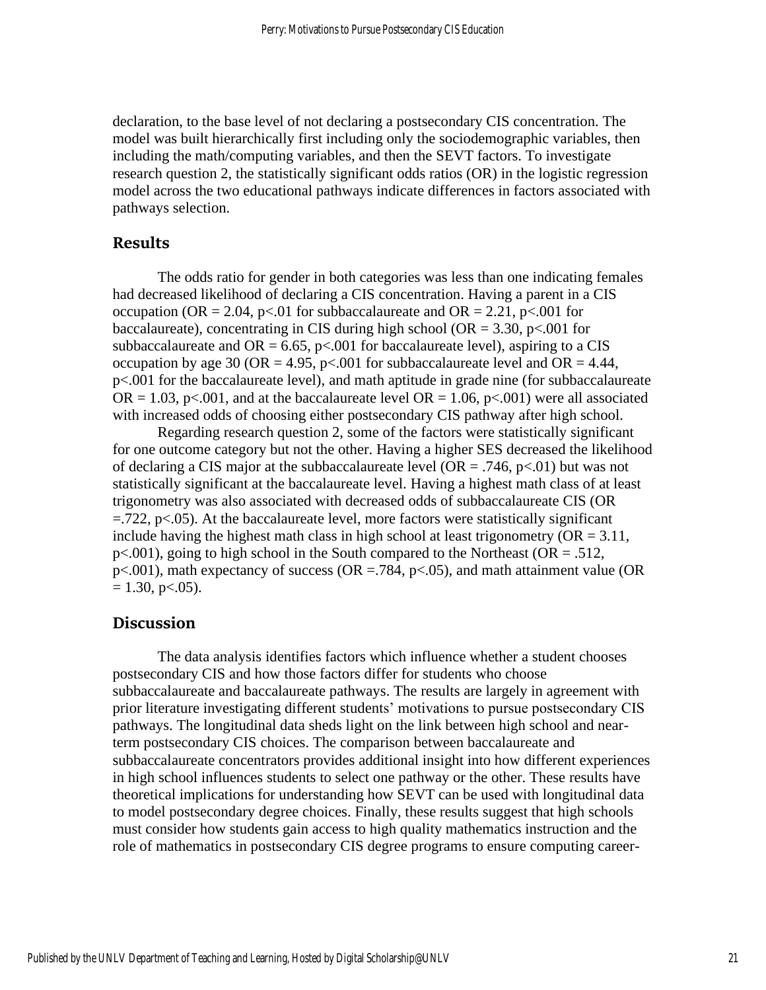declaration, to the base level of not declaring a postsecondary CIS concentration. The model was built hierarchically first including only the sociodemographic variables, then including the math/computing variables, and then the SEVT factors. To investigate research question 2, the statistically significant odds ratios (OR) in the logistic regression model across the two educational pathways indicate differences in factors associated with pathways selection.

# **Results**

The odds ratio for gender in both categories was less than one indicating females had decreased likelihood of declaring a CIS concentration. Having a parent in a CIS occupation (OR = 2.04, p<.01 for subbaccalaureate and OR = 2.21, p<.001 for baccalaureate), concentrating in CIS during high school (OR =  $3.30$ , p $\lt$ .001 for subbaccalaureate and OR = 6.65, p<.001 for baccalaureate level), aspiring to a CIS occupation by age 30 (OR = 4.95, p<.001 for subbaccalaureate level and OR = 4.44, p<.001 for the baccalaureate level), and math aptitude in grade nine (for subbaccalaureate OR = 1.03, p<.001, and at the baccalaureate level OR = 1.06, p<.001) were all associated with increased odds of choosing either postsecondary CIS pathway after high school.

Regarding research question 2, some of the factors were statistically significant for one outcome category but not the other. Having a higher SES decreased the likelihood of declaring a CIS major at the subbaccalaureate level ( $OR = .746$ ,  $p < .01$ ) but was not statistically significant at the baccalaureate level. Having a highest math class of at least trigonometry was also associated with decreased odds of subbaccalaureate CIS (OR  $=$ .722, p $<$ .05). At the baccalaureate level, more factors were statistically significant include having the highest math class in high school at least trigonometry ( $OR = 3.11$ ,  $p\leq 0.001$ , going to high school in the South compared to the Northeast (OR = .512, p<.001), math expectancy of success (OR =.784, p<.05), and math attainment value (OR  $= 1.30$ , p $< .05$ ).

## **Discussion**

The data analysis identifies factors which influence whether a student chooses postsecondary CIS and how those factors differ for students who choose subbaccalaureate and baccalaureate pathways. The results are largely in agreement with prior literature investigating different students' motivations to pursue postsecondary CIS pathways. The longitudinal data sheds light on the link between high school and nearterm postsecondary CIS choices. The comparison between baccalaureate and subbaccalaureate concentrators provides additional insight into how different experiences in high school influences students to select one pathway or the other. These results have theoretical implications for understanding how SEVT can be used with longitudinal data to model postsecondary degree choices. Finally, these results suggest that high schools must consider how students gain access to high quality mathematics instruction and the role of mathematics in postsecondary CIS degree programs to ensure computing career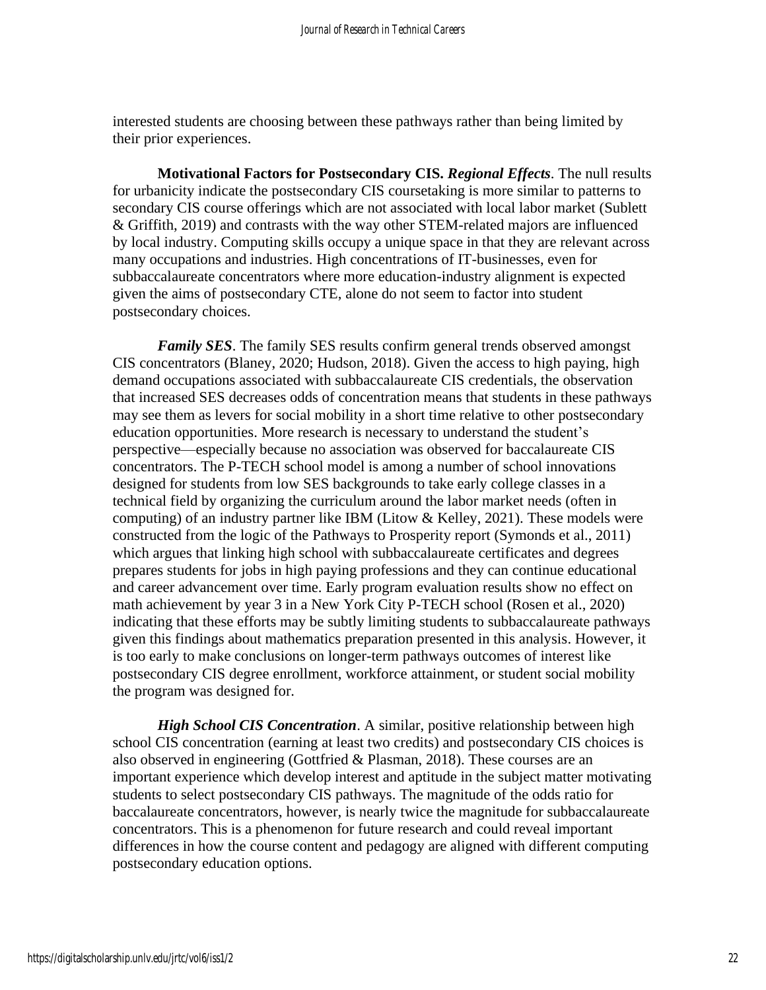interested students are choosing between these pathways rather than being limited by their prior experiences.

**Motivational Factors for Postsecondary CIS.** *Regional Effects*. The null results for urbanicity indicate the postsecondary CIS coursetaking is more similar to patterns to secondary CIS course offerings which are not associated with local labor market (Sublett & Griffith, 2019) and contrasts with the way other STEM-related majors are influenced by local industry. Computing skills occupy a unique space in that they are relevant across many occupations and industries. High concentrations of IT-businesses, even for subbaccalaureate concentrators where more education-industry alignment is expected given the aims of postsecondary CTE, alone do not seem to factor into student postsecondary choices.

*Family SES*. The family SES results confirm general trends observed amongst CIS concentrators (Blaney, 2020; Hudson, 2018). Given the access to high paying, high demand occupations associated with subbaccalaureate CIS credentials, the observation that increased SES decreases odds of concentration means that students in these pathways may see them as levers for social mobility in a short time relative to other postsecondary education opportunities. More research is necessary to understand the student's perspective—especially because no association was observed for baccalaureate CIS concentrators. The P-TECH school model is among a number of school innovations designed for students from low SES backgrounds to take early college classes in a technical field by organizing the curriculum around the labor market needs (often in computing) of an industry partner like IBM (Litow  $&$  Kelley, 2021). These models were constructed from the logic of the Pathways to Prosperity report (Symonds et al., 2011) which argues that linking high school with subbaccalaureate certificates and degrees prepares students for jobs in high paying professions and they can continue educational and career advancement over time. Early program evaluation results show no effect on math achievement by year 3 in a New York City P-TECH school (Rosen et al., 2020) indicating that these efforts may be subtly limiting students to subbaccalaureate pathways given this findings about mathematics preparation presented in this analysis. However, it is too early to make conclusions on longer-term pathways outcomes of interest like postsecondary CIS degree enrollment, workforce attainment, or student social mobility the program was designed for.

*High School CIS Concentration*. A similar, positive relationship between high school CIS concentration (earning at least two credits) and postsecondary CIS choices is also observed in engineering (Gottfried & Plasman, 2018). These courses are an important experience which develop interest and aptitude in the subject matter motivating students to select postsecondary CIS pathways. The magnitude of the odds ratio for baccalaureate concentrators, however, is nearly twice the magnitude for subbaccalaureate concentrators. This is a phenomenon for future research and could reveal important differences in how the course content and pedagogy are aligned with different computing postsecondary education options.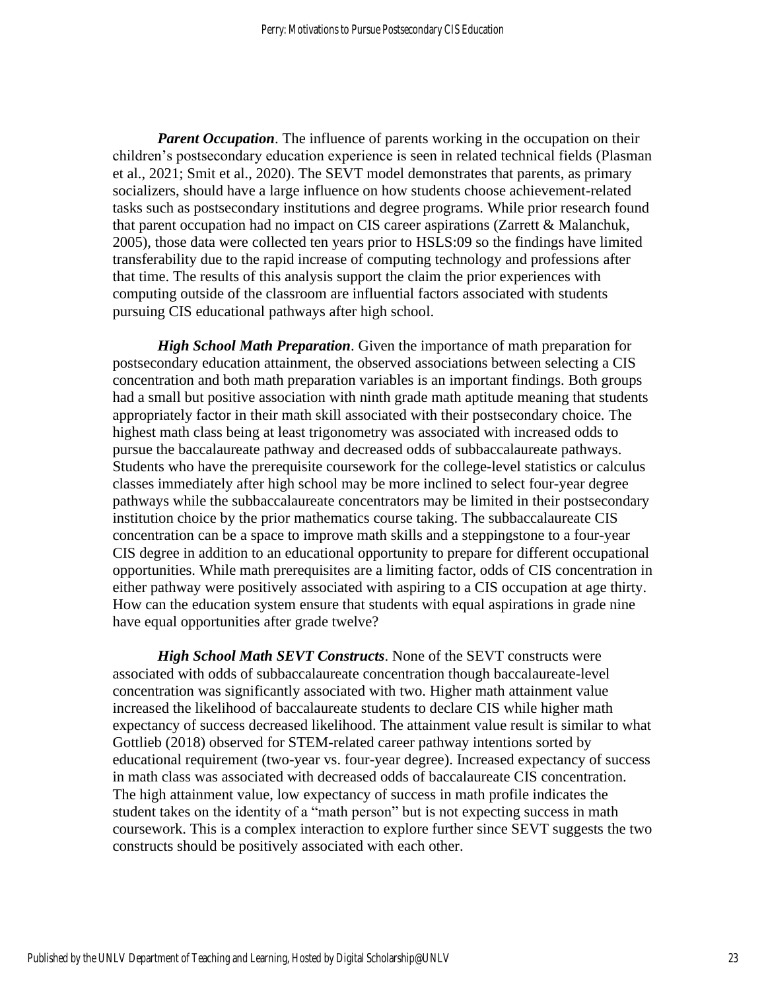*Parent Occupation*. The influence of parents working in the occupation on their children's postsecondary education experience is seen in related technical fields (Plasman et al., 2021; Smit et al., 2020). The SEVT model demonstrates that parents, as primary socializers, should have a large influence on how students choose achievement-related tasks such as postsecondary institutions and degree programs. While prior research found that parent occupation had no impact on CIS career aspirations (Zarrett & Malanchuk, 2005), those data were collected ten years prior to HSLS:09 so the findings have limited transferability due to the rapid increase of computing technology and professions after that time. The results of this analysis support the claim the prior experiences with computing outside of the classroom are influential factors associated with students pursuing CIS educational pathways after high school.

*High School Math Preparation*. Given the importance of math preparation for postsecondary education attainment, the observed associations between selecting a CIS concentration and both math preparation variables is an important findings. Both groups had a small but positive association with ninth grade math aptitude meaning that students appropriately factor in their math skill associated with their postsecondary choice. The highest math class being at least trigonometry was associated with increased odds to pursue the baccalaureate pathway and decreased odds of subbaccalaureate pathways. Students who have the prerequisite coursework for the college-level statistics or calculus classes immediately after high school may be more inclined to select four-year degree pathways while the subbaccalaureate concentrators may be limited in their postsecondary institution choice by the prior mathematics course taking. The subbaccalaureate CIS concentration can be a space to improve math skills and a steppingstone to a four-year CIS degree in addition to an educational opportunity to prepare for different occupational opportunities. While math prerequisites are a limiting factor, odds of CIS concentration in either pathway were positively associated with aspiring to a CIS occupation at age thirty. How can the education system ensure that students with equal aspirations in grade nine have equal opportunities after grade twelve?

*High School Math SEVT Constructs*. None of the SEVT constructs were associated with odds of subbaccalaureate concentration though baccalaureate-level concentration was significantly associated with two. Higher math attainment value increased the likelihood of baccalaureate students to declare CIS while higher math expectancy of success decreased likelihood. The attainment value result is similar to what Gottlieb (2018) observed for STEM-related career pathway intentions sorted by educational requirement (two-year vs. four-year degree). Increased expectancy of success in math class was associated with decreased odds of baccalaureate CIS concentration. The high attainment value, low expectancy of success in math profile indicates the student takes on the identity of a "math person" but is not expecting success in math coursework. This is a complex interaction to explore further since SEVT suggests the two constructs should be positively associated with each other.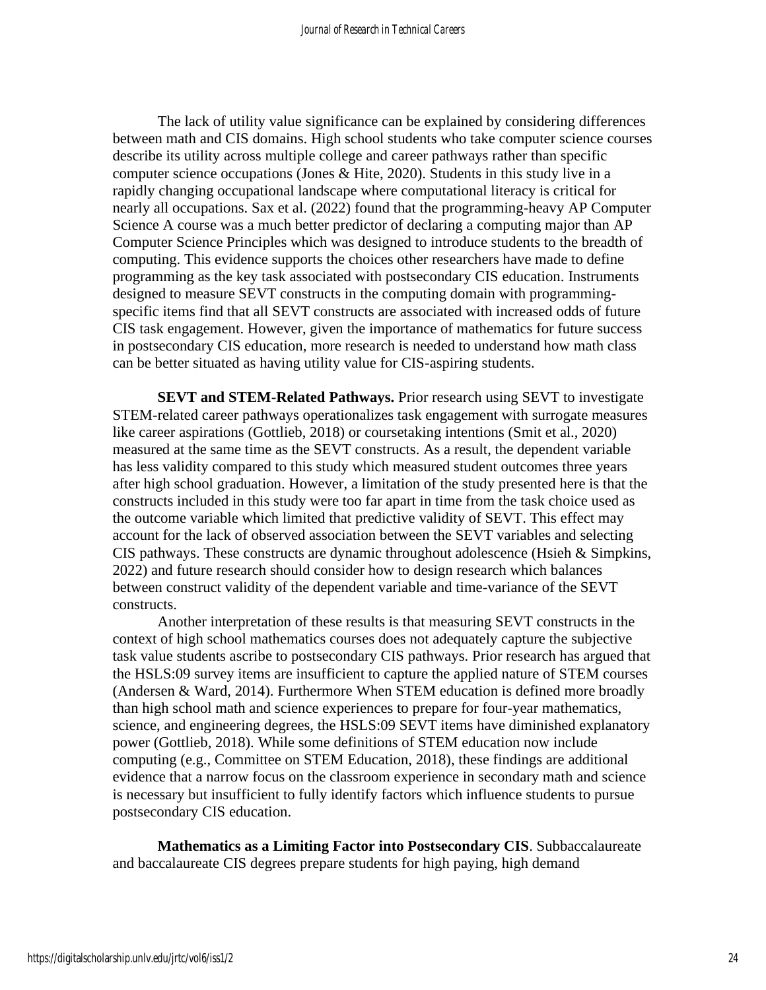The lack of utility value significance can be explained by considering differences between math and CIS domains. High school students who take computer science courses describe its utility across multiple college and career pathways rather than specific computer science occupations (Jones & Hite, 2020). Students in this study live in a rapidly changing occupational landscape where computational literacy is critical for nearly all occupations. Sax et al. (2022) found that the programming-heavy AP Computer Science A course was a much better predictor of declaring a computing major than AP Computer Science Principles which was designed to introduce students to the breadth of computing. This evidence supports the choices other researchers have made to define programming as the key task associated with postsecondary CIS education. Instruments designed to measure SEVT constructs in the computing domain with programmingspecific items find that all SEVT constructs are associated with increased odds of future CIS task engagement. However, given the importance of mathematics for future success in postsecondary CIS education, more research is needed to understand how math class can be better situated as having utility value for CIS-aspiring students.

**SEVT and STEM-Related Pathways.** Prior research using SEVT to investigate STEM-related career pathways operationalizes task engagement with surrogate measures like career aspirations (Gottlieb, 2018) or coursetaking intentions (Smit et al., 2020) measured at the same time as the SEVT constructs. As a result, the dependent variable has less validity compared to this study which measured student outcomes three years after high school graduation. However, a limitation of the study presented here is that the constructs included in this study were too far apart in time from the task choice used as the outcome variable which limited that predictive validity of SEVT. This effect may account for the lack of observed association between the SEVT variables and selecting CIS pathways. These constructs are dynamic throughout adolescence (Hsieh & Simpkins, 2022) and future research should consider how to design research which balances between construct validity of the dependent variable and time-variance of the SEVT constructs.

Another interpretation of these results is that measuring SEVT constructs in the context of high school mathematics courses does not adequately capture the subjective task value students ascribe to postsecondary CIS pathways. Prior research has argued that the HSLS:09 survey items are insufficient to capture the applied nature of STEM courses (Andersen & Ward, 2014). Furthermore When STEM education is defined more broadly than high school math and science experiences to prepare for four-year mathematics, science, and engineering degrees, the HSLS:09 SEVT items have diminished explanatory power (Gottlieb, 2018). While some definitions of STEM education now include computing (e.g., Committee on STEM Education, 2018), these findings are additional evidence that a narrow focus on the classroom experience in secondary math and science is necessary but insufficient to fully identify factors which influence students to pursue postsecondary CIS education.

**Mathematics as a Limiting Factor into Postsecondary CIS**. Subbaccalaureate and baccalaureate CIS degrees prepare students for high paying, high demand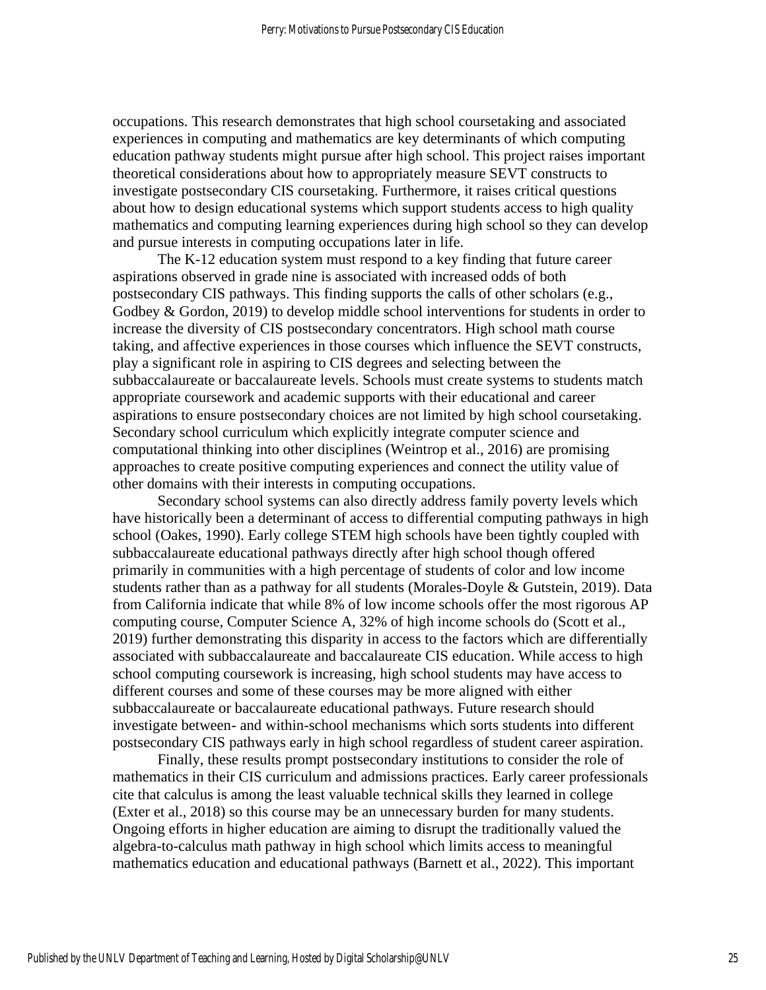occupations. This research demonstrates that high school coursetaking and associated experiences in computing and mathematics are key determinants of which computing education pathway students might pursue after high school. This project raises important theoretical considerations about how to appropriately measure SEVT constructs to investigate postsecondary CIS coursetaking. Furthermore, it raises critical questions about how to design educational systems which support students access to high quality mathematics and computing learning experiences during high school so they can develop and pursue interests in computing occupations later in life.

The K-12 education system must respond to a key finding that future career aspirations observed in grade nine is associated with increased odds of both postsecondary CIS pathways. This finding supports the calls of other scholars (e.g., Godbey & Gordon, 2019) to develop middle school interventions for students in order to increase the diversity of CIS postsecondary concentrators. High school math course taking, and affective experiences in those courses which influence the SEVT constructs, play a significant role in aspiring to CIS degrees and selecting between the subbaccalaureate or baccalaureate levels. Schools must create systems to students match appropriate coursework and academic supports with their educational and career aspirations to ensure postsecondary choices are not limited by high school coursetaking. Secondary school curriculum which explicitly integrate computer science and computational thinking into other disciplines (Weintrop et al., 2016) are promising approaches to create positive computing experiences and connect the utility value of other domains with their interests in computing occupations.

Secondary school systems can also directly address family poverty levels which have historically been a determinant of access to differential computing pathways in high school (Oakes, 1990). Early college STEM high schools have been tightly coupled with subbaccalaureate educational pathways directly after high school though offered primarily in communities with a high percentage of students of color and low income students rather than as a pathway for all students (Morales-Doyle & Gutstein, 2019). Data from California indicate that while 8% of low income schools offer the most rigorous AP computing course, Computer Science A, 32% of high income schools do (Scott et al., 2019) further demonstrating this disparity in access to the factors which are differentially associated with subbaccalaureate and baccalaureate CIS education. While access to high school computing coursework is increasing, high school students may have access to different courses and some of these courses may be more aligned with either subbaccalaureate or baccalaureate educational pathways. Future research should investigate between- and within-school mechanisms which sorts students into different postsecondary CIS pathways early in high school regardless of student career aspiration.

Finally, these results prompt postsecondary institutions to consider the role of mathematics in their CIS curriculum and admissions practices. Early career professionals cite that calculus is among the least valuable technical skills they learned in college (Exter et al., 2018) so this course may be an unnecessary burden for many students. Ongoing efforts in higher education are aiming to disrupt the traditionally valued the algebra-to-calculus math pathway in high school which limits access to meaningful mathematics education and educational pathways (Barnett et al., 2022). This important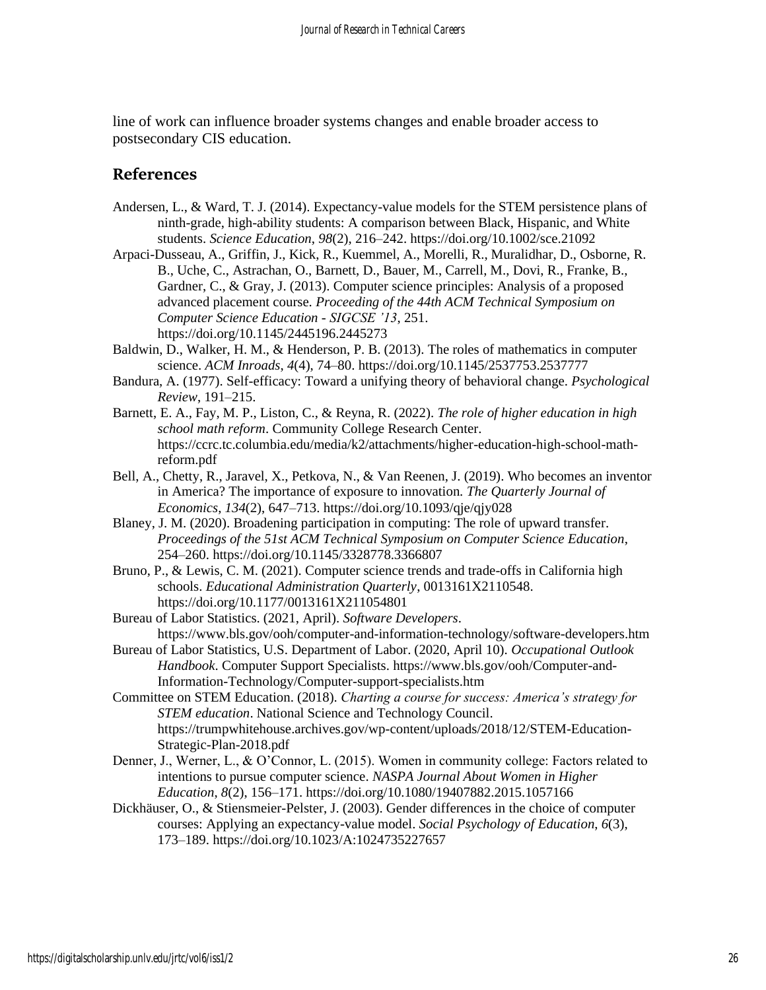line of work can influence broader systems changes and enable broader access to postsecondary CIS education.

# **References**

- Andersen, L., & Ward, T. J. (2014). Expectancy-value models for the STEM persistence plans of ninth-grade, high-ability students: A comparison between Black, Hispanic, and White students. *Science Education*, *98*(2), 216–242. https://doi.org/10.1002/sce.21092
- Arpaci-Dusseau, A., Griffin, J., Kick, R., Kuemmel, A., Morelli, R., Muralidhar, D., Osborne, R. B., Uche, C., Astrachan, O., Barnett, D., Bauer, M., Carrell, M., Dovi, R., Franke, B., Gardner, C., & Gray, J. (2013). Computer science principles: Analysis of a proposed advanced placement course. *Proceeding of the 44th ACM Technical Symposium on Computer Science Education - SIGCSE '13*, 251. https://doi.org/10.1145/2445196.2445273
- Baldwin, D., Walker, H. M., & Henderson, P. B. (2013). The roles of mathematics in computer science. *ACM Inroads*, *4*(4), 74–80. https://doi.org/10.1145/2537753.2537777
- Bandura, A. (1977). Self-efficacy: Toward a unifying theory of behavioral change. *Psychological Review*, 191–215.
- Barnett, E. A., Fay, M. P., Liston, C., & Reyna, R. (2022). *The role of higher education in high school math reform*. Community College Research Center. https://ccrc.tc.columbia.edu/media/k2/attachments/higher-education-high-school-mathreform.pdf
- Bell, A., Chetty, R., Jaravel, X., Petkova, N., & Van Reenen, J. (2019). Who becomes an inventor in America? The importance of exposure to innovation. *The Quarterly Journal of Economics*, *134*(2), 647–713. https://doi.org/10.1093/qje/qjy028
- Blaney, J. M. (2020). Broadening participation in computing: The role of upward transfer. *Proceedings of the 51st ACM Technical Symposium on Computer Science Education*, 254–260. https://doi.org/10.1145/3328778.3366807
- Bruno, P., & Lewis, C. M. (2021). Computer science trends and trade-offs in California high schools. *Educational Administration Quarterly*, 0013161X2110548. https://doi.org/10.1177/0013161X211054801
- Bureau of Labor Statistics. (2021, April). *Software Developers*. https://www.bls.gov/ooh/computer-and-information-technology/software-developers.htm
- Bureau of Labor Statistics, U.S. Department of Labor. (2020, April 10). *Occupational Outlook Handbook*. Computer Support Specialists. https://www.bls.gov/ooh/Computer-and-Information-Technology/Computer-support-specialists.htm
- Committee on STEM Education. (2018). *Charting a course for success: America's strategy for STEM education*. National Science and Technology Council. https://trumpwhitehouse.archives.gov/wp-content/uploads/2018/12/STEM-Education-Strategic-Plan-2018.pdf
- Denner, J., Werner, L., & O'Connor, L. (2015). Women in community college: Factors related to intentions to pursue computer science. *NASPA Journal About Women in Higher Education*, *8*(2), 156–171. https://doi.org/10.1080/19407882.2015.1057166
- Dickhäuser, O., & Stiensmeier-Pelster, J. (2003). Gender differences in the choice of computer courses: Applying an expectancy-value model. *Social Psychology of Education*, *6*(3), 173–189. https://doi.org/10.1023/A:1024735227657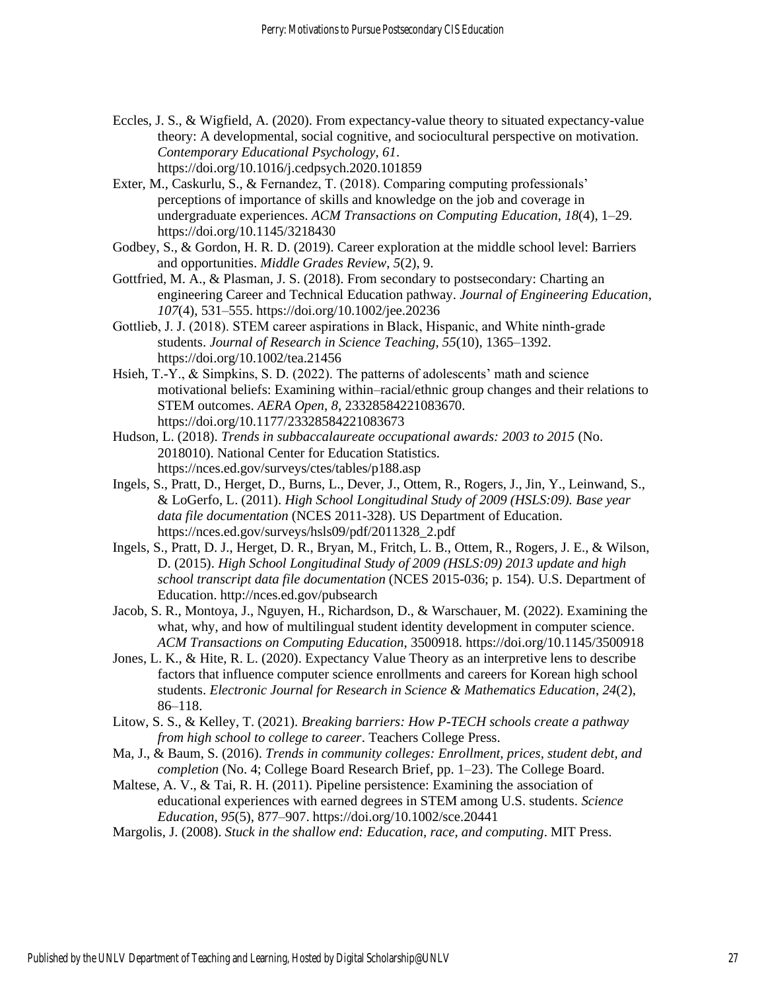- Eccles, J. S., & Wigfield, A. (2020). From expectancy-value theory to situated expectancy-value theory: A developmental, social cognitive, and sociocultural perspective on motivation. *Contemporary Educational Psychology*, *61*. https://doi.org/10.1016/j.cedpsych.2020.101859
- Exter, M., Caskurlu, S., & Fernandez, T. (2018). Comparing computing professionals' perceptions of importance of skills and knowledge on the job and coverage in undergraduate experiences. *ACM Transactions on Computing Education*, *18*(4), 1–29. https://doi.org/10.1145/3218430
- Godbey, S., & Gordon, H. R. D. (2019). Career exploration at the middle school level: Barriers and opportunities. *Middle Grades Review*, *5*(2), 9.
- Gottfried, M. A., & Plasman, J. S. (2018). From secondary to postsecondary: Charting an engineering Career and Technical Education pathway. *Journal of Engineering Education*, *107*(4), 531–555. https://doi.org/10.1002/jee.20236
- Gottlieb, J. J. (2018). STEM career aspirations in Black, Hispanic, and White ninth‐grade students. *Journal of Research in Science Teaching*, *55*(10), 1365–1392. https://doi.org/10.1002/tea.21456
- Hsieh, T.-Y., & Simpkins, S. D. (2022). The patterns of adolescents' math and science motivational beliefs: Examining within–racial/ethnic group changes and their relations to STEM outcomes. *AERA Open*, *8*, 23328584221083670. https://doi.org/10.1177/23328584221083673
- Hudson, L. (2018). *Trends in subbaccalaureate occupational awards: 2003 to 2015* (No. 2018010). National Center for Education Statistics. https://nces.ed.gov/surveys/ctes/tables/p188.asp
- Ingels, S., Pratt, D., Herget, D., Burns, L., Dever, J., Ottem, R., Rogers, J., Jin, Y., Leinwand, S., & LoGerfo, L. (2011). *High School Longitudinal Study of 2009 (HSLS:09). Base year data file documentation* (NCES 2011-328). US Department of Education. https://nces.ed.gov/surveys/hsls09/pdf/2011328\_2.pdf
- Ingels, S., Pratt, D. J., Herget, D. R., Bryan, M., Fritch, L. B., Ottem, R., Rogers, J. E., & Wilson, D. (2015). *High School Longitudinal Study of 2009 (HSLS:09) 2013 update and high school transcript data file documentation* (NCES 2015-036; p. 154). U.S. Department of Education. http://nces.ed.gov/pubsearch
- Jacob, S. R., Montoya, J., Nguyen, H., Richardson, D., & Warschauer, M. (2022). Examining the what, why, and how of multilingual student identity development in computer science. *ACM Transactions on Computing Education*, 3500918. https://doi.org/10.1145/3500918
- Jones, L. K., & Hite, R. L. (2020). Expectancy Value Theory as an interpretive lens to describe factors that influence computer science enrollments and careers for Korean high school students. *Electronic Journal for Research in Science & Mathematics Education*, *24*(2), 86–118.
- Litow, S. S., & Kelley, T. (2021). *Breaking barriers: How P-TECH schools create a pathway from high school to college to career*. Teachers College Press.
- Ma, J., & Baum, S. (2016). *Trends in community colleges: Enrollment, prices, student debt, and completion* (No. 4; College Board Research Brief, pp. 1–23). The College Board.
- Maltese, A. V., & Tai, R. H. (2011). Pipeline persistence: Examining the association of educational experiences with earned degrees in STEM among U.S. students. *Science Education*, *95*(5), 877–907. https://doi.org/10.1002/sce.20441
- Margolis, J. (2008). *Stuck in the shallow end: Education, race, and computing*. MIT Press.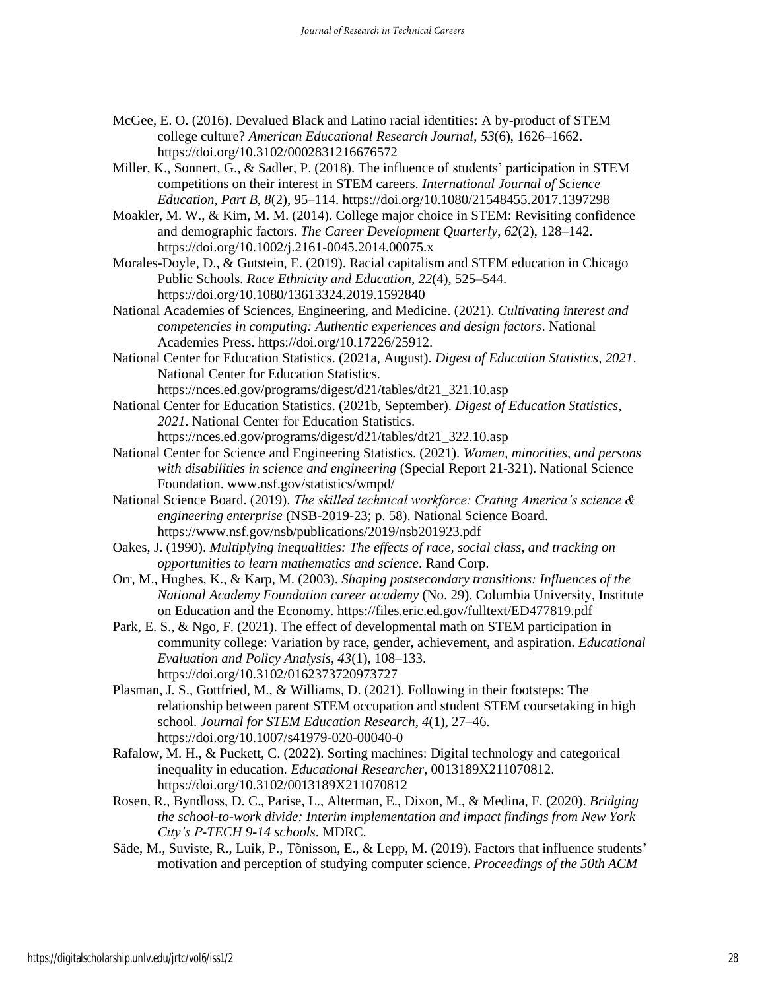- McGee, E. O. (2016). Devalued Black and Latino racial identities: A by-product of STEM college culture? *American Educational Research Journal*, *53*(6), 1626–1662. https://doi.org/10.3102/0002831216676572
- Miller, K., Sonnert, G., & Sadler, P. (2018). The influence of students' participation in STEM competitions on their interest in STEM careers. *International Journal of Science Education, Part B*, *8*(2), 95–114. https://doi.org/10.1080/21548455.2017.1397298
- Moakler, M. W., & Kim, M. M. (2014). College major choice in STEM: Revisiting confidence and demographic factors. *The Career Development Quarterly*, *62*(2), 128–142. https://doi.org/10.1002/j.2161-0045.2014.00075.x
- Morales-Doyle, D., & Gutstein, E. (2019). Racial capitalism and STEM education in Chicago Public Schools. *Race Ethnicity and Education*, *22*(4), 525–544. https://doi.org/10.1080/13613324.2019.1592840
- National Academies of Sciences, Engineering, and Medicine. (2021). *Cultivating interest and competencies in computing: Authentic experiences and design factors*. National Academies Press. https://doi.org/10.17226/25912.
- National Center for Education Statistics. (2021a, August). *Digest of Education Statistics, 2021*. National Center for Education Statistics. https://nces.ed.gov/programs/digest/d21/tables/dt21\_321.10.asp
- National Center for Education Statistics. (2021b, September). *Digest of Education Statistics, 2021*. National Center for Education Statistics. https://nces.ed.gov/programs/digest/d21/tables/dt21\_322.10.asp
- National Center for Science and Engineering Statistics. (2021). *Women, minorities, and persons with disabilities in science and engineering* (Special Report 21-321). National Science Foundation. www.nsf.gov/statistics/wmpd/
- National Science Board. (2019). *The skilled technical workforce: Crating America's science & engineering enterprise* (NSB-2019-23; p. 58). National Science Board. https://www.nsf.gov/nsb/publications/2019/nsb201923.pdf
- Oakes, J. (1990). *Multiplying inequalities: The effects of race, social class, and tracking on opportunities to learn mathematics and science*. Rand Corp.
- Orr, M., Hughes, K., & Karp, M. (2003). *Shaping postsecondary transitions: Influences of the National Academy Foundation career academy* (No. 29). Columbia University, Institute on Education and the Economy. https://files.eric.ed.gov/fulltext/ED477819.pdf
- Park, E. S., & Ngo, F. (2021). The effect of developmental math on STEM participation in community college: Variation by race, gender, achievement, and aspiration. *Educational Evaluation and Policy Analysis*, *43*(1), 108–133. https://doi.org/10.3102/0162373720973727
- Plasman, J. S., Gottfried, M., & Williams, D. (2021). Following in their footsteps: The relationship between parent STEM occupation and student STEM coursetaking in high school. *Journal for STEM Education Research*, *4*(1), 27–46. https://doi.org/10.1007/s41979-020-00040-0
- Rafalow, M. H., & Puckett, C. (2022). Sorting machines: Digital technology and categorical inequality in education. *Educational Researcher*, 0013189X211070812. https://doi.org/10.3102/0013189X211070812
- Rosen, R., Byndloss, D. C., Parise, L., Alterman, E., Dixon, M., & Medina, F. (2020). *Bridging the school-to-work divide: Interim implementation and impact findings from New York City's P-TECH 9-14 schools*. MDRC.
- Säde, M., Suviste, R., Luik, P., Tõnisson, E., & Lepp, M. (2019). Factors that influence students' motivation and perception of studying computer science. *Proceedings of the 50th ACM*